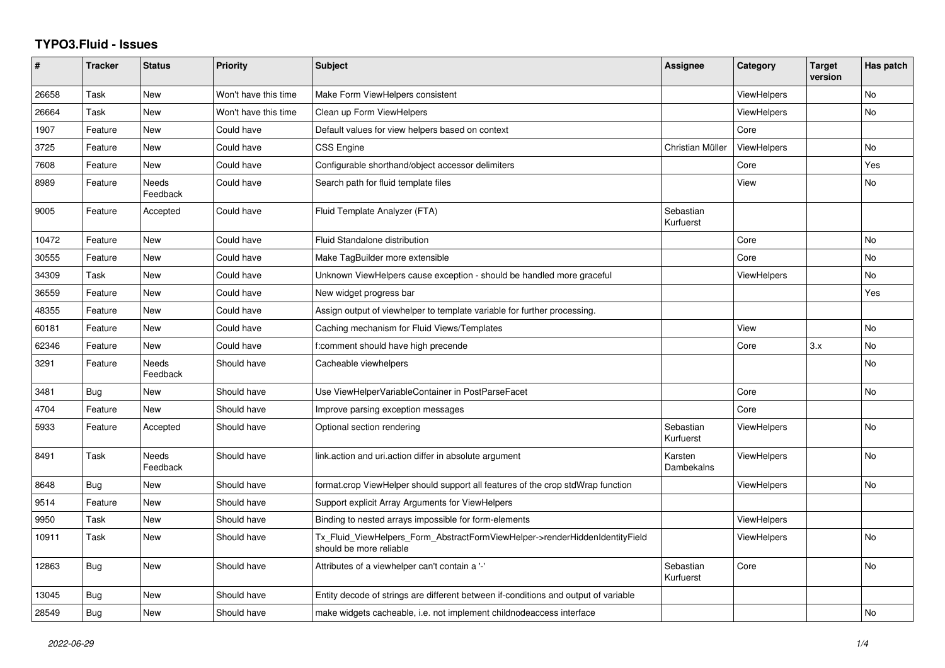## **TYPO3.Fluid - Issues**

| #     | <b>Tracker</b> | <b>Status</b>            | <b>Priority</b>      | <b>Subject</b>                                                                                         | Assignee               | Category           | <b>Target</b><br>version | Has patch      |
|-------|----------------|--------------------------|----------------------|--------------------------------------------------------------------------------------------------------|------------------------|--------------------|--------------------------|----------------|
| 26658 | Task           | <b>New</b>               | Won't have this time | Make Form ViewHelpers consistent                                                                       |                        | <b>ViewHelpers</b> |                          | No             |
| 26664 | Task           | New                      | Won't have this time | Clean up Form ViewHelpers                                                                              |                        | <b>ViewHelpers</b> |                          | <b>No</b>      |
| 1907  | Feature        | New                      | Could have           | Default values for view helpers based on context                                                       |                        | Core               |                          |                |
| 3725  | Feature        | <b>New</b>               | Could have           | <b>CSS Engine</b>                                                                                      | Christian Müller       | ViewHelpers        |                          | No             |
| 7608  | Feature        | New                      | Could have           | Configurable shorthand/object accessor delimiters                                                      |                        | Core               |                          | Yes            |
| 8989  | Feature        | Needs<br>Feedback        | Could have           | Search path for fluid template files                                                                   |                        | View               |                          | No             |
| 9005  | Feature        | Accepted                 | Could have           | Fluid Template Analyzer (FTA)                                                                          | Sebastian<br>Kurfuerst |                    |                          |                |
| 10472 | Feature        | New                      | Could have           | Fluid Standalone distribution                                                                          |                        | Core               |                          | <b>No</b>      |
| 30555 | Feature        | New                      | Could have           | Make TagBuilder more extensible                                                                        |                        | Core               |                          | No             |
| 34309 | Task           | <b>New</b>               | Could have           | Unknown ViewHelpers cause exception - should be handled more graceful                                  |                        | <b>ViewHelpers</b> |                          | No             |
| 36559 | Feature        | New                      | Could have           | New widget progress bar                                                                                |                        |                    |                          | Yes            |
| 48355 | Feature        | New                      | Could have           | Assign output of viewhelper to template variable for further processing.                               |                        |                    |                          |                |
| 60181 | Feature        | New                      | Could have           | Caching mechanism for Fluid Views/Templates                                                            |                        | View               |                          | <b>No</b>      |
| 62346 | Feature        | New                      | Could have           | f:comment should have high precende                                                                    |                        | Core               | 3.x                      | <b>No</b>      |
| 3291  | Feature        | Needs<br>Feedback        | Should have          | Cacheable viewhelpers                                                                                  |                        |                    |                          | No             |
| 3481  | Bug            | New                      | Should have          | Use ViewHelperVariableContainer in PostParseFacet                                                      |                        | Core               |                          | <b>No</b>      |
| 4704  | Feature        | <b>New</b>               | Should have          | Improve parsing exception messages                                                                     |                        | Core               |                          |                |
| 5933  | Feature        | Accepted                 | Should have          | Optional section rendering                                                                             | Sebastian<br>Kurfuerst | ViewHelpers        |                          | No             |
| 8491  | Task           | <b>Needs</b><br>Feedback | Should have          | link.action and uri.action differ in absolute argument                                                 | Karsten<br>Dambekalns  | <b>ViewHelpers</b> |                          | <b>No</b>      |
| 8648  | Bug            | New                      | Should have          | format.crop ViewHelper should support all features of the crop stdWrap function                        |                        | <b>ViewHelpers</b> |                          | <b>No</b>      |
| 9514  | Feature        | New                      | Should have          | Support explicit Array Arguments for ViewHelpers                                                       |                        |                    |                          |                |
| 9950  | Task           | <b>New</b>               | Should have          | Binding to nested arrays impossible for form-elements                                                  |                        | <b>ViewHelpers</b> |                          |                |
| 10911 | Task           | New                      | Should have          | Tx_Fluid_ViewHelpers_Form_AbstractFormViewHelper->renderHiddenIdentityField<br>should be more reliable |                        | ViewHelpers        |                          | N <sub>o</sub> |
| 12863 | Bug            | <b>New</b>               | Should have          | Attributes of a viewhelper can't contain a '-'                                                         | Sebastian<br>Kurfuerst | Core               |                          | No             |
| 13045 | Bug            | New                      | Should have          | Entity decode of strings are different between if-conditions and output of variable                    |                        |                    |                          |                |
| 28549 | Bug            | New                      | Should have          | make widgets cacheable, i.e. not implement childnodeaccess interface                                   |                        |                    |                          | <b>No</b>      |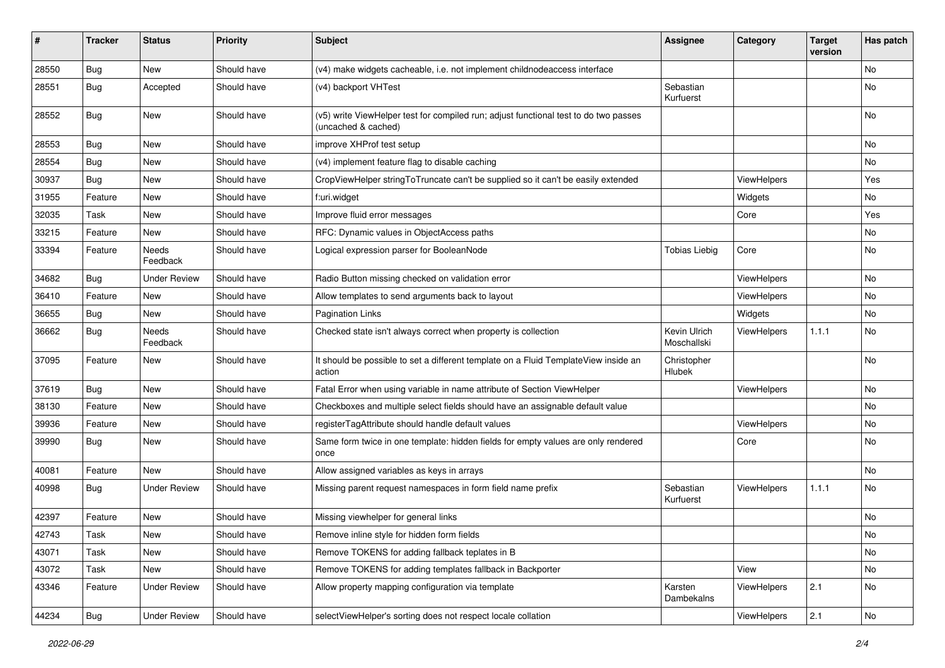| #     | <b>Tracker</b> | <b>Status</b>            | <b>Priority</b> | <b>Subject</b>                                                                                              | <b>Assignee</b>             | Category    | <b>Target</b><br>version | Has patch     |
|-------|----------------|--------------------------|-----------------|-------------------------------------------------------------------------------------------------------------|-----------------------------|-------------|--------------------------|---------------|
| 28550 | Bug            | <b>New</b>               | Should have     | (v4) make widgets cacheable, i.e. not implement childnodeaccess interface                                   |                             |             |                          | No            |
| 28551 | Bug            | Accepted                 | Should have     | (v4) backport VHTest                                                                                        | Sebastian<br>Kurfuerst      |             |                          | No            |
| 28552 | Bug            | <b>New</b>               | Should have     | (v5) write ViewHelper test for compiled run; adjust functional test to do two passes<br>(uncached & cached) |                             |             |                          | <b>No</b>     |
| 28553 | Bug            | <b>New</b>               | Should have     | improve XHProf test setup                                                                                   |                             |             |                          | <b>No</b>     |
| 28554 | Bug            | New                      | Should have     | (v4) implement feature flag to disable caching                                                              |                             |             |                          | No            |
| 30937 | Bug            | New                      | Should have     | CropViewHelper stringToTruncate can't be supplied so it can't be easily extended                            |                             | ViewHelpers |                          | Yes           |
| 31955 | Feature        | New                      | Should have     | f:uri.widget                                                                                                |                             | Widgets     |                          | No            |
| 32035 | Task           | New                      | Should have     | Improve fluid error messages                                                                                |                             | Core        |                          | Yes           |
| 33215 | Feature        | New                      | Should have     | RFC: Dynamic values in ObjectAccess paths                                                                   |                             |             |                          | No            |
| 33394 | Feature        | <b>Needs</b><br>Feedback | Should have     | Logical expression parser for BooleanNode                                                                   | <b>Tobias Liebig</b>        | Core        |                          | No            |
| 34682 | Bug            | <b>Under Review</b>      | Should have     | Radio Button missing checked on validation error                                                            |                             | ViewHelpers |                          | <b>No</b>     |
| 36410 | Feature        | New                      | Should have     | Allow templates to send arguments back to layout                                                            |                             | ViewHelpers |                          | No            |
| 36655 | Bug            | New                      | Should have     | <b>Pagination Links</b>                                                                                     |                             | Widgets     |                          | No            |
| 36662 | <b>Bug</b>     | Needs<br>Feedback        | Should have     | Checked state isn't always correct when property is collection                                              | Kevin Ulrich<br>Moschallski | ViewHelpers | 1.1.1                    | No            |
| 37095 | Feature        | New                      | Should have     | It should be possible to set a different template on a Fluid TemplateView inside an<br>action               | Christopher<br>Hlubek       |             |                          | No            |
| 37619 | Bug            | New                      | Should have     | Fatal Error when using variable in name attribute of Section ViewHelper                                     |                             | ViewHelpers |                          | No            |
| 38130 | Feature        | New                      | Should have     | Checkboxes and multiple select fields should have an assignable default value                               |                             |             |                          | <b>No</b>     |
| 39936 | Feature        | New                      | Should have     | registerTagAttribute should handle default values                                                           |                             | ViewHelpers |                          | No            |
| 39990 | Bug            | New                      | Should have     | Same form twice in one template: hidden fields for empty values are only rendered<br>once                   |                             | Core        |                          | <b>No</b>     |
| 40081 | Feature        | New                      | Should have     | Allow assigned variables as keys in arrays                                                                  |                             |             |                          | <b>No</b>     |
| 40998 | Bug            | <b>Under Review</b>      | Should have     | Missing parent request namespaces in form field name prefix                                                 | Sebastian<br>Kurfuerst      | ViewHelpers | 1.1.1                    | No            |
| 42397 | Feature        | New                      | Should have     | Missing viewhelper for general links                                                                        |                             |             |                          | No            |
| 42743 | Task           | New                      | Should have     | Remove inline style for hidden form fields                                                                  |                             |             |                          | $\mathsf{No}$ |
| 43071 | Task           | New                      | Should have     | Remove TOKENS for adding fallback teplates in B                                                             |                             |             |                          | No            |
| 43072 | Task           | New                      | Should have     | Remove TOKENS for adding templates fallback in Backporter                                                   |                             | View        |                          | No            |
| 43346 | Feature        | <b>Under Review</b>      | Should have     | Allow property mapping configuration via template                                                           | Karsten<br>Dambekalns       | ViewHelpers | 2.1                      | No            |
| 44234 | <b>Bug</b>     | <b>Under Review</b>      | Should have     | selectViewHelper's sorting does not respect locale collation                                                |                             | ViewHelpers | 2.1                      | $\mathsf{No}$ |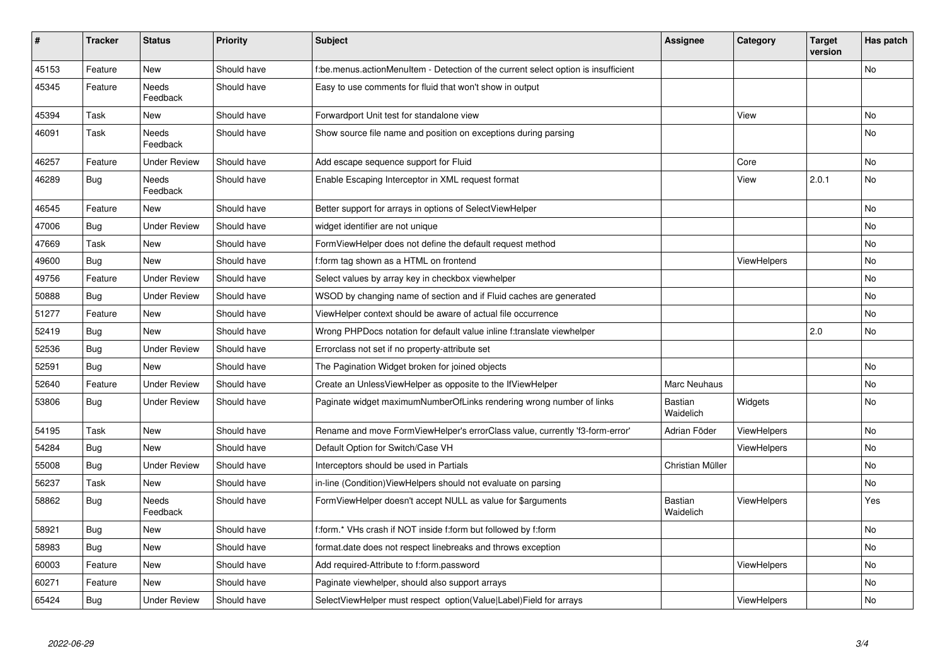| #     | <b>Tracker</b> | <b>Status</b>            | <b>Priority</b> | <b>Subject</b>                                                                     | <b>Assignee</b>      | Category           | <b>Target</b><br>version | Has patch |
|-------|----------------|--------------------------|-----------------|------------------------------------------------------------------------------------|----------------------|--------------------|--------------------------|-----------|
| 45153 | Feature        | New                      | Should have     | f:be.menus.actionMenuItem - Detection of the current select option is insufficient |                      |                    |                          | <b>No</b> |
| 45345 | Feature        | Needs<br>Feedback        | Should have     | Easy to use comments for fluid that won't show in output                           |                      |                    |                          |           |
| 45394 | Task           | New                      | Should have     | Forwardport Unit test for standalone view                                          |                      | View               |                          | <b>No</b> |
| 46091 | Task           | Needs<br>Feedback        | Should have     | Show source file name and position on exceptions during parsing                    |                      |                    |                          | No        |
| 46257 | Feature        | <b>Under Review</b>      | Should have     | Add escape sequence support for Fluid                                              |                      | Core               |                          | <b>No</b> |
| 46289 | Bug            | Needs<br>Feedback        | Should have     | Enable Escaping Interceptor in XML request format                                  |                      | View               | 2.0.1                    | <b>No</b> |
| 46545 | Feature        | New                      | Should have     | Better support for arrays in options of SelectViewHelper                           |                      |                    |                          | <b>No</b> |
| 47006 | Bug            | <b>Under Review</b>      | Should have     | widget identifier are not unique                                                   |                      |                    |                          | No        |
| 47669 | Task           | New                      | Should have     | FormViewHelper does not define the default request method                          |                      |                    |                          | No        |
| 49600 | Bug            | <b>New</b>               | Should have     | f:form tag shown as a HTML on frontend                                             |                      | ViewHelpers        |                          | <b>No</b> |
| 49756 | Feature        | <b>Under Review</b>      | Should have     | Select values by array key in checkbox viewhelper                                  |                      |                    |                          | No        |
| 50888 | <b>Bug</b>     | Under Review             | Should have     | WSOD by changing name of section and if Fluid caches are generated                 |                      |                    |                          | No        |
| 51277 | Feature        | New                      | Should have     | ViewHelper context should be aware of actual file occurrence                       |                      |                    |                          | No        |
| 52419 | <b>Bug</b>     | <b>New</b>               | Should have     | Wrong PHPDocs notation for default value inline f:translate viewhelper             |                      |                    | 2.0                      | <b>No</b> |
| 52536 | <b>Bug</b>     | Under Review             | Should have     | Errorclass not set if no property-attribute set                                    |                      |                    |                          |           |
| 52591 | <b>Bug</b>     | <b>New</b>               | Should have     | The Pagination Widget broken for joined objects                                    |                      |                    |                          | No        |
| 52640 | Feature        | <b>Under Review</b>      | Should have     | Create an UnlessViewHelper as opposite to the IfViewHelper                         | Marc Neuhaus         |                    |                          | <b>No</b> |
| 53806 | Bug            | <b>Under Review</b>      | Should have     | Paginate widget maximumNumberOfLinks rendering wrong number of links               | Bastian<br>Waidelich | Widgets            |                          | No        |
| 54195 | Task           | New                      | Should have     | Rename and move FormViewHelper's errorClass value, currently 'f3-form-error'       | Adrian Föder         | ViewHelpers        |                          | No        |
| 54284 | Bug            | New                      | Should have     | Default Option for Switch/Case VH                                                  |                      | ViewHelpers        |                          | <b>No</b> |
| 55008 | Bug            | Under Review             | Should have     | Interceptors should be used in Partials                                            | Christian Müller     |                    |                          | <b>No</b> |
| 56237 | Task           | New                      | Should have     | in-line (Condition) View Helpers should not evaluate on parsing                    |                      |                    |                          | No        |
| 58862 | <b>Bug</b>     | <b>Needs</b><br>Feedback | Should have     | FormViewHelper doesn't accept NULL as value for \$arguments                        | Bastian<br>Waidelich | <b>ViewHelpers</b> |                          | Yes       |
| 58921 | Bug            | New                      | Should have     | f:form.* VHs crash if NOT inside f:form but followed by f:form                     |                      |                    |                          | No        |
| 58983 | Bug            | New                      | Should have     | format.date does not respect linebreaks and throws exception                       |                      |                    |                          | No        |
| 60003 | Feature        | New                      | Should have     | Add required-Attribute to f:form.password                                          |                      | ViewHelpers        |                          | No        |
| 60271 | Feature        | <b>New</b>               | Should have     | Paginate viewhelper, should also support arrays                                    |                      |                    |                          | No        |
| 65424 | <b>Bug</b>     | <b>Under Review</b>      | Should have     | SelectViewHelper must respect option(Value Label)Field for arrays                  |                      | ViewHelpers        |                          | No        |